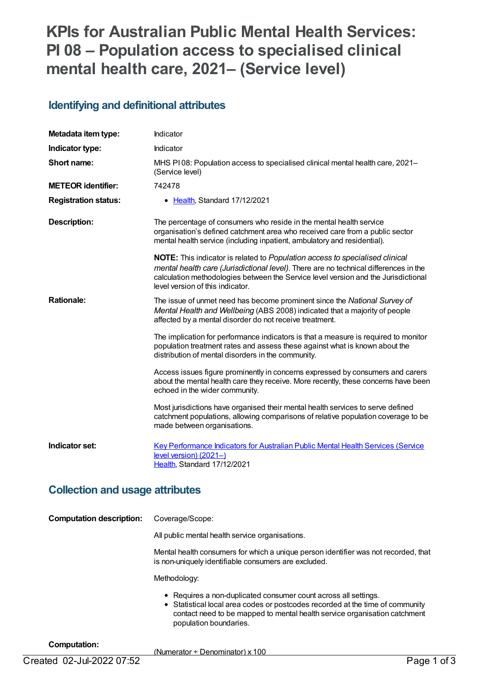# **KPIs for Australian Public Mental Health Services: PI 08 – Population access to specialised clinical mental health care, 2021– (Service level)**

#### **Identifying and definitional attributes**

| Metadata item type:                      | Indicator                                                                                                                                                                                                                                                                                             |
|------------------------------------------|-------------------------------------------------------------------------------------------------------------------------------------------------------------------------------------------------------------------------------------------------------------------------------------------------------|
| Indicator type:                          | Indicator                                                                                                                                                                                                                                                                                             |
| Short name:                              | MHS PI08: Population access to specialised clinical mental health care, 2021-<br>(Service level)                                                                                                                                                                                                      |
| <b>METEOR identifier:</b>                | 742478                                                                                                                                                                                                                                                                                                |
| <b>Registration status:</b>              | • Health, Standard 17/12/2021                                                                                                                                                                                                                                                                         |
| <b>Description:</b>                      | The percentage of consumers who reside in the mental health service<br>organisation's defined catchment area who received care from a public sector<br>mental health service (including inpatient, ambulatory and residential).                                                                       |
|                                          | <b>NOTE:</b> This indicator is related to Population access to specialised clinical<br>mental health care (Jurisdictional level). There are no technical differences in the<br>calculation methodologies between the Service level version and the Jurisdictional<br>level version of this indicator. |
| <b>Rationale:</b>                        | The issue of unmet need has become prominent since the National Survey of<br>Mental Health and Wellbeing (ABS 2008) indicated that a majority of people<br>affected by a mental disorder do not receive treatment.                                                                                    |
|                                          | The implication for performance indicators is that a measure is required to monitor<br>population treatment rates and assess these against what is known about the<br>distribution of mental disorders in the community.                                                                              |
|                                          | Access issues figure prominently in concerns expressed by consumers and carers<br>about the mental health care they receive. More recently, these concerns have been<br>echoed in the wider community.                                                                                                |
|                                          | Most jurisdictions have organised their mental health services to serve defined<br>catchment populations, allowing comparisons of relative population coverage to be<br>made between organisations.                                                                                                   |
| Indicator set:                           | Key Performance Indicators for Australian Public Mental Health Services (Service<br>level version) (2021-)<br>Health, Standard 17/12/2021                                                                                                                                                             |
| بمقتصا استلقم وبموموس امورم وبملقوم المز |                                                                                                                                                                                                                                                                                                       |

#### **Collection and usage attributes**

| <b>Computation description:</b> | Coverage/Scope:                                                                                                                                                                                                                                         |
|---------------------------------|---------------------------------------------------------------------------------------------------------------------------------------------------------------------------------------------------------------------------------------------------------|
|                                 | All public mental health service organisations.                                                                                                                                                                                                         |
|                                 | Mental health consumers for which a unique person identifier was not recorded, that<br>is non-uniquely identifiable consumers are excluded.                                                                                                             |
|                                 | Methodology:                                                                                                                                                                                                                                            |
|                                 | • Requires a non-duplicated consumer count across all settings.<br>• Statistical local area codes or postcodes recorded at the time of community<br>contact need to be mapped to mental health service organisation catchment<br>population boundaries. |

**Computation:**

(Numerator ÷ Denominator) x 100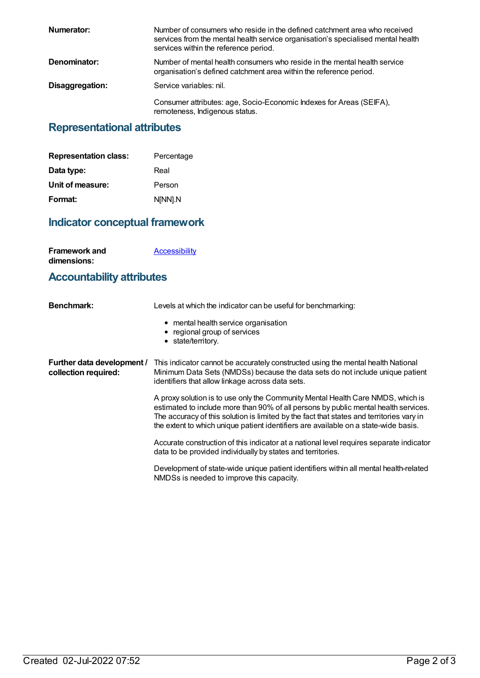| Numerator:      | Number of consumers who reside in the defined catchment area who received<br>services from the mental health service organisation's specialised mental health<br>services within the reference period. |
|-----------------|--------------------------------------------------------------------------------------------------------------------------------------------------------------------------------------------------------|
| Denominator:    | Number of mental health consumers who reside in the mental health service<br>organisation's defined catchment area within the reference period.                                                        |
| Disaggregation: | Service variables: nil.                                                                                                                                                                                |
|                 | Consumer attributes: age, Socio-Economic Indexes for Areas (SEIFA),<br>remoteness, Indigenous status.                                                                                                  |

# **Representational attributes**

| <b>Representation class:</b> | Percentage |
|------------------------------|------------|
| Data type:                   | Real       |
| Unit of measure:             | Person     |
| Format:                      | N[NN].N    |

# **Indicator conceptual framework**

| <b>Framework and</b> | <b>Accessibility</b> |
|----------------------|----------------------|
| dimensions:          |                      |

### **Accountability attributes**

| <b>Benchmark:</b>                                  | Levels at which the indicator can be useful for benchmarking:                                                                                                                                                                                                                                                                                             |
|----------------------------------------------------|-----------------------------------------------------------------------------------------------------------------------------------------------------------------------------------------------------------------------------------------------------------------------------------------------------------------------------------------------------------|
|                                                    | • mental health service organisation<br>• regional group of services<br>• state/territory.                                                                                                                                                                                                                                                                |
| Further data development /<br>collection required: | This indicator cannot be accurately constructed using the mental health National<br>Minimum Data Sets (NMDSs) because the data sets do not include unique patient<br>identifiers that allow linkage across data sets.                                                                                                                                     |
|                                                    | A proxy solution is to use only the Community Mental Health Care NMDS, which is<br>estimated to include more than 90% of all persons by public mental health services.<br>The accuracy of this solution is limited by the fact that states and territories vary in<br>the extent to which unique patient identifiers are available on a state-wide basis. |
|                                                    | Accurate construction of this indicator at a national level requires separate indicator<br>data to be provided individually by states and territories.                                                                                                                                                                                                    |
|                                                    | Development of state-wide unique patient identifiers within all mental health-related<br>NMDSs is needed to improve this capacity.                                                                                                                                                                                                                        |